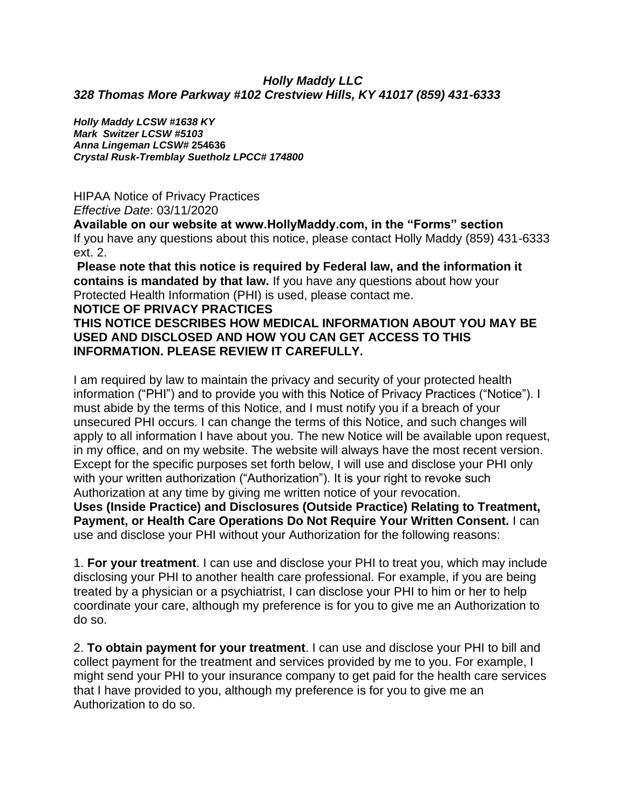#### *Holly Maddy LLC 328 Thomas More Parkway #102 Crestview Hills, KY 41017 (859) 431-6333*

*Holly Maddy LCSW #1638 KY Mark Switzer LCSW #5103 Anna Lingeman LCSW#* **254636** *Crystal Rusk-Tremblay Suetholz LPCC# 174800*

HIPAA Notice of Privacy Practices *Effective Date*: 03/11/2020

**Available on our website at www.HollyMaddy.com, in the "Forms" section**  If you have any questions about this notice, please contact Holly Maddy (859) 431-6333 ext. 2.

**Please note that this notice is required by Federal law, and the information it contains is mandated by that law.** If you have any questions about how your Protected Health Information (PHI) is used, please contact me.

#### **NOTICE OF PRIVACY PRACTICES**

### **THIS NOTICE DESCRIBES HOW MEDICAL INFORMATION ABOUT YOU MAY BE USED AND DISCLOSED AND HOW YOU CAN GET ACCESS TO THIS INFORMATION. PLEASE REVIEW IT CAREFULLY.**

I am required by law to maintain the privacy and security of your protected health information ("PHI") and to provide you with this Notice of Privacy Practices ("Notice"). I must abide by the terms of this Notice, and I must notify you if a breach of your unsecured PHI occurs. I can change the terms of this Notice, and such changes will apply to all information I have about you. The new Notice will be available upon request, in my office, and on my website. The website will always have the most recent version. Except for the specific purposes set forth below, I will use and disclose your PHI only with your written authorization ("Authorization"). It is your right to revoke such Authorization at any time by giving me written notice of your revocation.

**Uses (Inside Practice) and Disclosures (Outside Practice) Relating to Treatment, Payment, or Health Care Operations Do Not Require Your Written Consent.** I can use and disclose your PHI without your Authorization for the following reasons:

1. **For your treatment**. I can use and disclose your PHI to treat you, which may include disclosing your PHI to another health care professional. For example, if you are being treated by a physician or a psychiatrist, I can disclose your PHI to him or her to help coordinate your care, although my preference is for you to give me an Authorization to do so.

2. **To obtain payment for your treatment**. I can use and disclose your PHI to bill and collect payment for the treatment and services provided by me to you. For example, I might send your PHI to your insurance company to get paid for the health care services that I have provided to you, although my preference is for you to give me an Authorization to do so.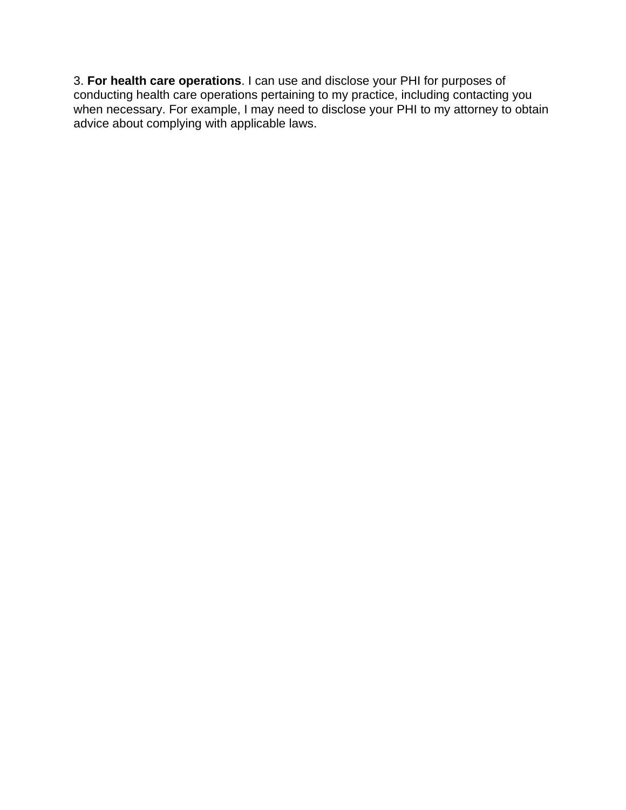3. **For health care operations**. I can use and disclose your PHI for purposes of conducting health care operations pertaining to my practice, including contacting you when necessary. For example, I may need to disclose your PHI to my attorney to obtain advice about complying with applicable laws.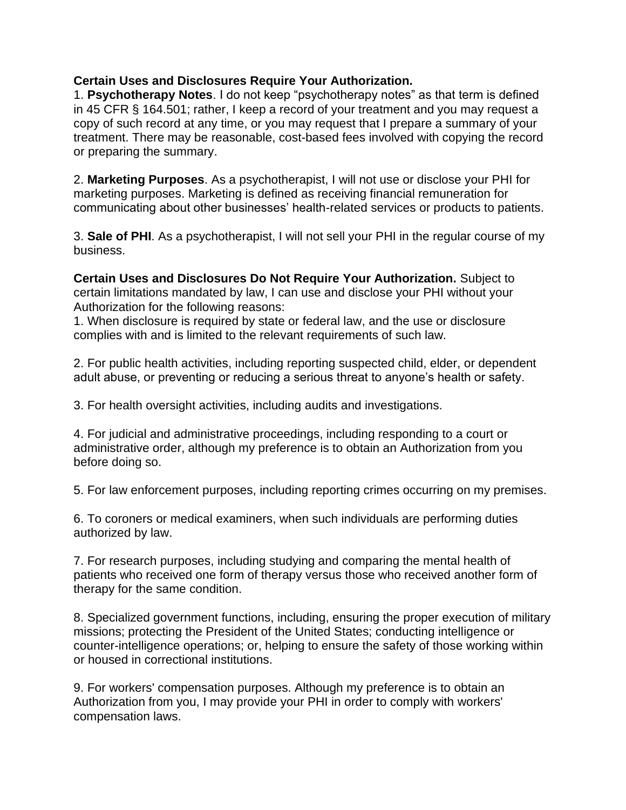#### **Certain Uses and Disclosures Require Your Authorization.**

1. **Psychotherapy Notes**. I do not keep "psychotherapy notes" as that term is defined in 45 CFR § 164.501; rather, I keep a record of your treatment and you may request a copy of such record at any time, or you may request that I prepare a summary of your treatment. There may be reasonable, cost-based fees involved with copying the record or preparing the summary.

2. **Marketing Purposes**. As a psychotherapist, I will not use or disclose your PHI for marketing purposes. Marketing is defined as receiving financial remuneration for communicating about other businesses' health-related services or products to patients.

3. **Sale of PHI**. As a psychotherapist, I will not sell your PHI in the regular course of my business.

**Certain Uses and Disclosures Do Not Require Your Authorization.** Subject to certain limitations mandated by law, I can use and disclose your PHI without your Authorization for the following reasons:

1. When disclosure is required by state or federal law, and the use or disclosure complies with and is limited to the relevant requirements of such law.

2. For public health activities, including reporting suspected child, elder, or dependent adult abuse, or preventing or reducing a serious threat to anyone's health or safety.

3. For health oversight activities, including audits and investigations.

4. For judicial and administrative proceedings, including responding to a court or administrative order, although my preference is to obtain an Authorization from you before doing so.

5. For law enforcement purposes, including reporting crimes occurring on my premises.

6. To coroners or medical examiners, when such individuals are performing duties authorized by law.

7. For research purposes, including studying and comparing the mental health of patients who received one form of therapy versus those who received another form of therapy for the same condition.

8. Specialized government functions, including, ensuring the proper execution of military missions; protecting the President of the United States; conducting intelligence or counter-intelligence operations; or, helping to ensure the safety of those working within or housed in correctional institutions.

9. For workers' compensation purposes. Although my preference is to obtain an Authorization from you, I may provide your PHI in order to comply with workers' compensation laws.